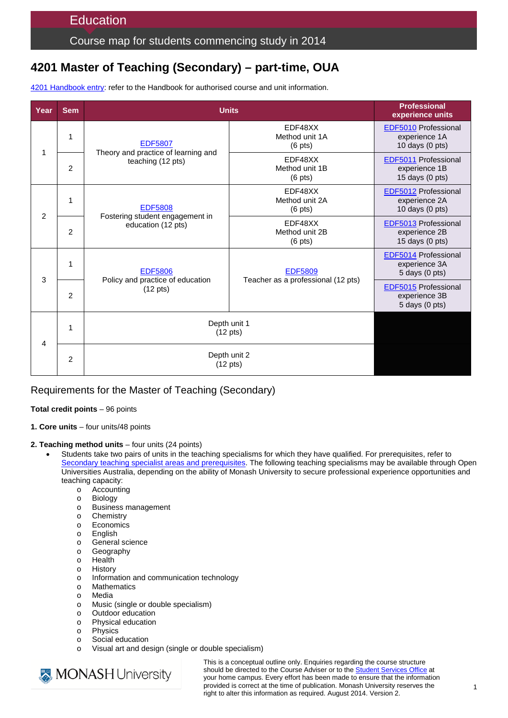## Course map for students commencing study in 2014

# **4201 Master of Teaching (Secondary) – part-time, OUA**

4201 [Handbook entry:](http://www.monash.edu.au/pubs/2014handbooks/courses/4201.html) refer to the Handbook for authorised course and unit information.

| Year           | <b>Sem</b>     | <b>Units</b>                                                               |                                                      | <b>Professional</b><br>experience units                            |
|----------------|----------------|----------------------------------------------------------------------------|------------------------------------------------------|--------------------------------------------------------------------|
| 1              | 1              | <b>EDF5807</b><br>Theory and practice of learning and<br>teaching (12 pts) | EDF48XX<br>Method unit 1A<br>$(6$ pts)               | <b>EDF5010 Professional</b><br>experience 1A<br>10 days (0 pts)    |
|                | $\overline{2}$ |                                                                            | EDF48XX<br>Method unit 1B<br>$(6 \text{ pts})$       | EDF5011 Professional<br>experience 1B<br>15 days (0 pts)           |
| $\overline{2}$ | 1              | <b>EDF5808</b><br>Fostering student engagement in<br>education (12 pts)    | EDF48XX<br>Method unit 2A<br>$(6 \text{ pts})$       | <b>EDF5012 Professional</b><br>experience 2A<br>10 days (0 pts)    |
|                | 2              |                                                                            | EDF48XX<br>Method unit 2B<br>$(6 \text{ pts})$       | EDF5013 Professional<br>experience 2B<br>15 days $(0 \text{ pts})$ |
| 3              | 1              | <b>EDF5806</b><br>Policy and practice of education<br>$(12 \text{ pts})$   | <b>EDF5809</b><br>Teacher as a professional (12 pts) | <b>EDF5014 Professional</b><br>experience 3A<br>$5$ days $(0$ pts) |
|                | 2              |                                                                            |                                                      | <b>EDF5015 Professional</b><br>experience 3B<br>5 days (0 pts)     |
| 4              | 1              | Depth unit 1<br>$(12 \text{ pts})$                                         |                                                      |                                                                    |
|                | $\overline{2}$ | Depth unit 2<br>$(12 \text{ pts})$                                         |                                                      |                                                                    |

### Requirements for the Master of Teaching (Secondary)

#### **Total credit points** – 96 points

- **1. Core units** four units/48 points
- **2. Teaching method units** four units (24 points)
	- Students take two pairs of units in the teaching specialisms for which they have qualified. For prerequisites, refer to [Secondary teaching specialist areas and prerequisites.](http://www.education.monash.edu.au/units/secondary-specialisms.html) The following teaching specialisms may be available through Open Universities Australia, depending on the ability of Monash University to secure professional experience opportunities and teaching capacity:
		- o Accounting
		- o Biology
		- o Business management
		- o Chemistry<br>
		o Economics
		- Economics
		- o English
		- o General science
		- o Geography<br>o Health
		- o Health<br>o History
		- History
		- o Information and communication technology
		- o Mathematics
		- o Media<br>o Music
		- o Music (single or double specialism)<br>
		Outdoor education
		- o Outdoor education<br>
		o Physical education
		- Physical education
		- o Physics
		- o Social education<br>o Visual art and de
		- Visual art and design (single or double specialism)



This is a conceptual outline only. Enquiries regarding the course structure should be directed to the Course Adviser or to the [Student Services Office](http://education.monash.edu.au/students/current/admin/student-services-offices.html) at your home campus. Every effort has been made to ensure that the information provided is correct at the time of publication. Monash University reserves the right to alter this information as required. August 2014. Version 2.